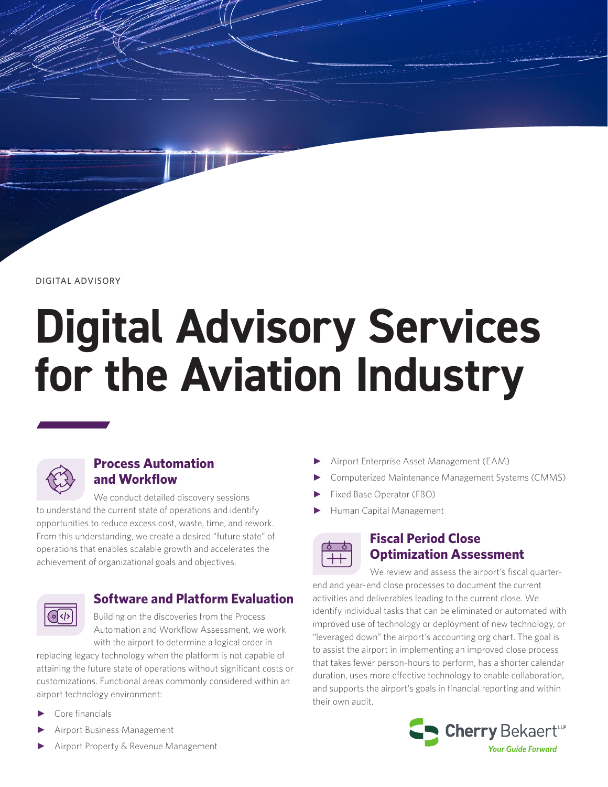DIGITAL ADVISORY

# **Digital Advisory Services for the Aviation Industry**



## **Process Automation and Workflow**

We conduct detailed discovery sessions to understand the current state of operations and identify opportunities to reduce excess cost, waste, time, and rework. From this understanding, we create a desired "future state" of operations that enables scalable growth and accelerates the achievement of organizational goals and objectives.



## **Software and Platform Evaluation**

Building on the discoveries from the Process Automation and Workflow Assessment, we work with the airport to determine a logical order in

replacing legacy technology when the platform is not capable of attaining the future state of operations without significant costs or customizations. Functional areas commonly considered within an airport technology environment:

- Core financials
- Airport Business Management
- Airport Property & Revenue Management
- Airport Enterprise Asset Management (EAM)
- ► Computerized Maintenance Management Systems (CMMS)
- Fixed Base Operator (FBO)
- ► Human Capital Management



#### **Fiscal Period Close Optimization Assessment**

We review and assess the airport's fiscal quarterend and year-end close processes to document the current activities and deliverables leading to the current close. We identify individual tasks that can be eliminated or automated with improved use of technology or deployment of new technology, or "leveraged down" the airport's accounting org chart. The goal is to assist the airport in implementing an improved close process that takes fewer person-hours to perform, has a shorter calendar duration, uses more effective technology to enable collaboration, and supports the airport's goals in financial reporting and within their own audit.